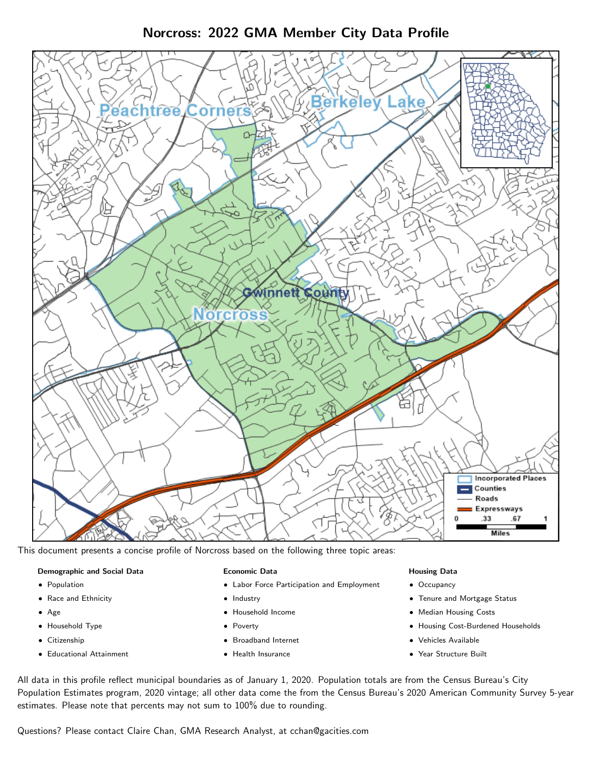Norcross: 2022 GMA Member City Data Profile



This document presents a concise profile of Norcross based on the following three topic areas:

#### Demographic and Social Data

- **•** Population
- Race and Ethnicity
- Age
- Household Type
- **Citizenship**
- Educational Attainment

### Economic Data

- Labor Force Participation and Employment
- Industry
- Household Income
- Poverty
- Broadband Internet
- Health Insurance

#### Housing Data

- Occupancy
- Tenure and Mortgage Status
- Median Housing Costs
- Housing Cost-Burdened Households
- Vehicles Available
- Year Structure Built

All data in this profile reflect municipal boundaries as of January 1, 2020. Population totals are from the Census Bureau's City Population Estimates program, 2020 vintage; all other data come the from the Census Bureau's 2020 American Community Survey 5-year estimates. Please note that percents may not sum to 100% due to rounding.

Questions? Please contact Claire Chan, GMA Research Analyst, at [cchan@gacities.com.](mailto:cchan@gacities.com)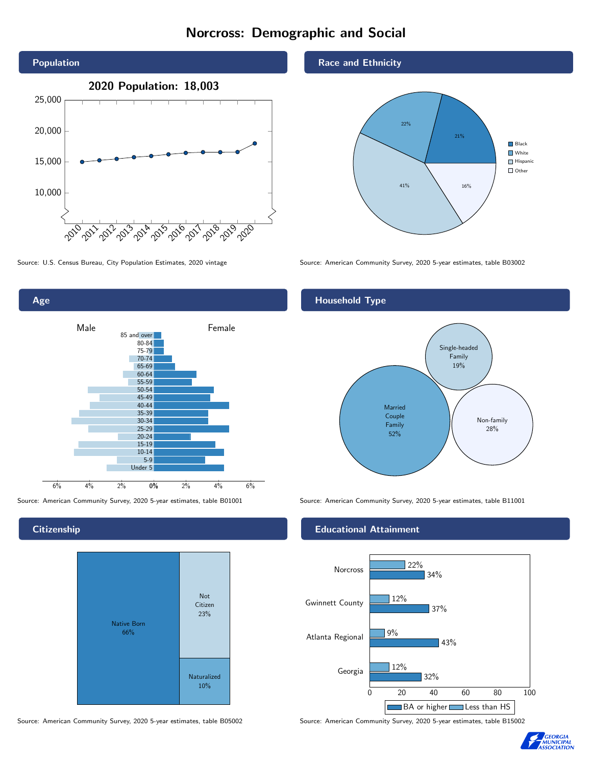# Norcross: Demographic and Social





**Citizenship** 



Source: American Community Survey, 2020 5-year estimates, table B05002 Source: American Community Survey, 2020 5-year estimates, table B15002

#### Race and Ethnicity



Source: U.S. Census Bureau, City Population Estimates, 2020 vintage Source: American Community Survey, 2020 5-year estimates, table B03002

## Household Type



Source: American Community Survey, 2020 5-year estimates, table B01001 Source: American Community Survey, 2020 5-year estimates, table B11001

### Educational Attainment



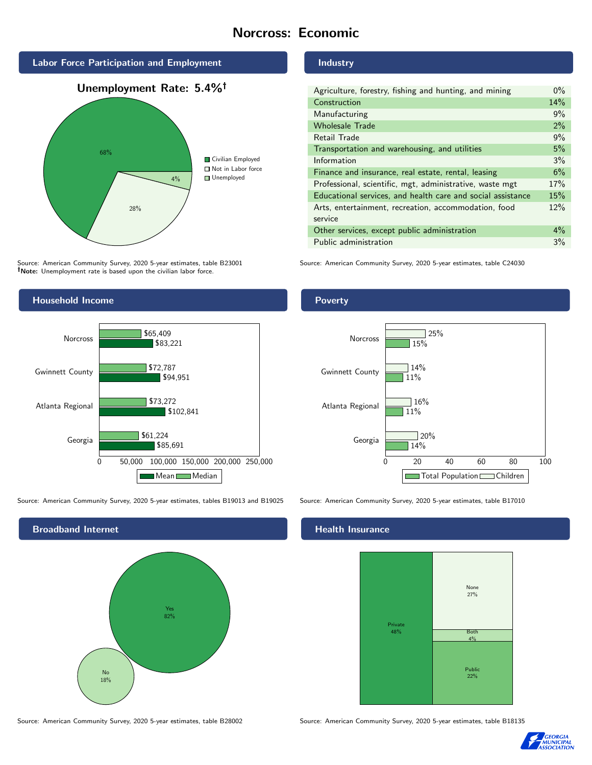# Norcross: Economic



Source: American Community Survey, 2020 5-year estimates, table B23001 Note: Unemployment rate is based upon the civilian labor force.



Source: American Community Survey, 2020 5-year estimates, tables B19013 and B19025 Source: American Community Survey, 2020 5-year estimates, table B17010



#### Industry

| Agriculture, forestry, fishing and hunting, and mining      | $0\%$ |
|-------------------------------------------------------------|-------|
| Construction                                                | 14%   |
| Manufacturing                                               | 9%    |
| <b>Wholesale Trade</b>                                      | 2%    |
| Retail Trade                                                | 9%    |
| Transportation and warehousing, and utilities               | 5%    |
| Information                                                 | 3%    |
| Finance and insurance, real estate, rental, leasing         | 6%    |
| Professional, scientific, mgt, administrative, waste mgt    | 17%   |
| Educational services, and health care and social assistance | 15%   |
| Arts, entertainment, recreation, accommodation, food        | 12%   |
| service                                                     |       |
| Other services, except public administration                | $4\%$ |
| Public administration                                       | 3%    |

Source: American Community Survey, 2020 5-year estimates, table C24030

### Poverty



## **Health Insurance**



Source: American Community Survey, 2020 5-year estimates, table B28002 Source: American Community Survey, 2020 5-year estimates, table B18135